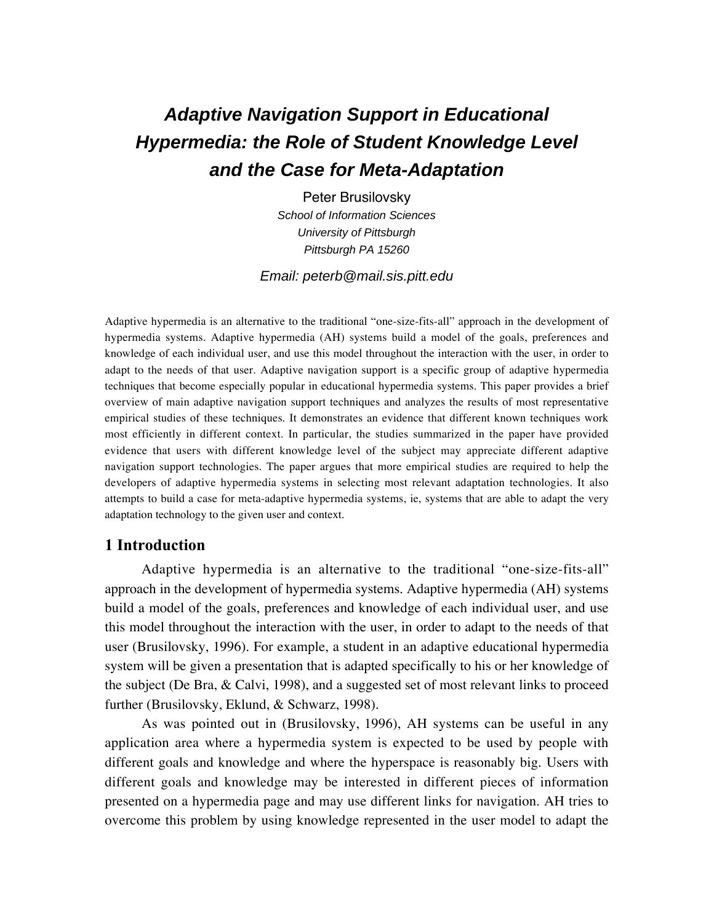# *Adaptive Navigation Support in Educational Hypermedia: the Role of Student Knowledge Level and the Case for Meta-Adaptation*

Peter Brusilovsky *School of Information Sciences University of Pittsburgh Pittsburgh PA 15260*

#### *Email: peterb@mail.sis.pitt.edu*

Adaptive hypermedia is an alternative to the traditional "one-size-fits-all" approach in the development of hypermedia systems. Adaptive hypermedia (AH) systems build a model of the goals, preferences and knowledge of each individual user, and use this model throughout the interaction with the user, in order to adapt to the needs of that user. Adaptive navigation support is a specific group of adaptive hypermedia techniques that become especially popular in educational hypermedia systems. This paper provides a brief overview of main adaptive navigation support techniques and analyzes the results of most representative empirical studies of these techniques. It demonstrates an evidence that different known techniques work most efficiently in different context. In particular, the studies summarized in the paper have provided evidence that users with different knowledge level of the subject may appreciate different adaptive navigation support technologies. The paper argues that more empirical studies are required to help the developers of adaptive hypermedia systems in selecting most relevant adaptation technologies. It also attempts to build a case for meta-adaptive hypermedia systems, ie, systems that are able to adapt the very adaptation technology to the given user and context.

## **1 Introduction**

Adaptive hypermedia is an alternative to the traditional "one-size-fits-all" approach in the development of hypermedia systems. Adaptive hypermedia (AH) systems build a model of the goals, preferences and knowledge of each individual user, and use this model throughout the interaction with the user, in order to adapt to the needs of that user (Brusilovsky, 1996). For example, a student in an adaptive educational hypermedia system will be given a presentation that is adapted specifically to his or her knowledge of the subject (De Bra, & Calvi, 1998), and a suggested set of most relevant links to proceed further (Brusilovsky, Eklund, & Schwarz, 1998).

As was pointed out in (Brusilovsky, 1996), AH systems can be useful in any application area where a hypermedia system is expected to be used by people with different goals and knowledge and where the hyperspace is reasonably big. Users with different goals and knowledge may be interested in different pieces of information presented on a hypermedia page and may use different links for navigation. AH tries to overcome this problem by using knowledge represented in the user model to adapt the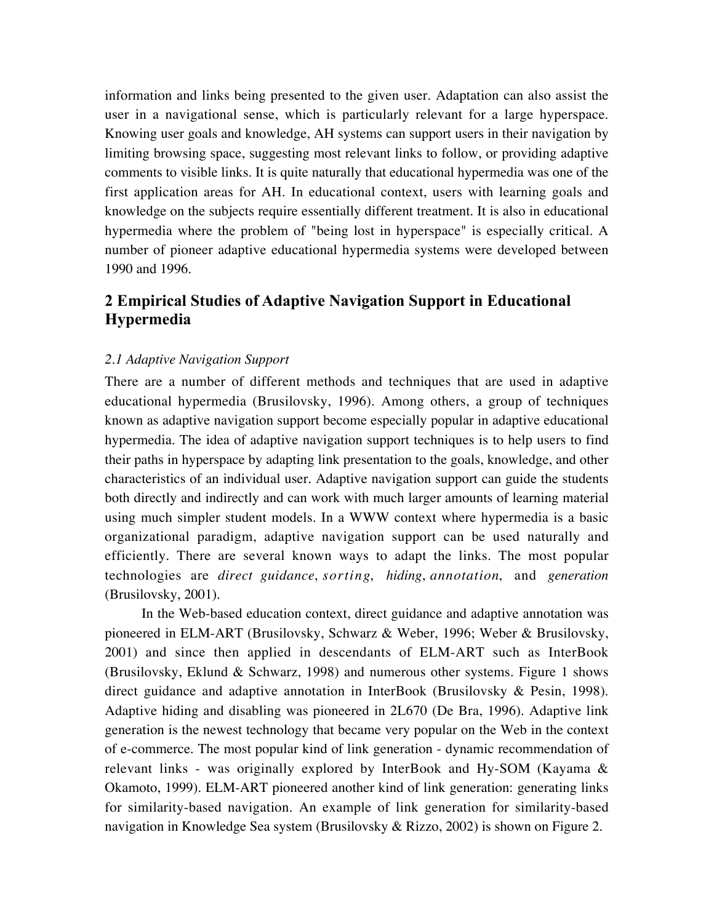information and links being presented to the given user. Adaptation can also assist the user in a navigational sense, which is particularly relevant for a large hyperspace. Knowing user goals and knowledge, AH systems can support users in their navigation by limiting browsing space, suggesting most relevant links to follow, or providing adaptive comments to visible links. It is quite naturally that educational hypermedia was one of the first application areas for AH. In educational context, users with learning goals and knowledge on the subjects require essentially different treatment. It is also in educational hypermedia where the problem of "being lost in hyperspace" is especially critical. A number of pioneer adaptive educational hypermedia systems were developed between 1990 and 1996.

# **2 Empirical Studies of Adaptive Navigation Support in Educational Hypermedia**

#### *2.1 Adaptive Navigation Support*

There are a number of different methods and techniques that are used in adaptive educational hypermedia (Brusilovsky, 1996). Among others, a group of techniques known as adaptive navigation support become especially popular in adaptive educational hypermedia. The idea of adaptive navigation support techniques is to help users to find their paths in hyperspace by adapting link presentation to the goals, knowledge, and other characteristics of an individual user. Adaptive navigation support can guide the students both directly and indirectly and can work with much larger amounts of learning material using much simpler student models. In a WWW context where hypermedia is a basic organizational paradigm, adaptive navigation support can be used naturally and efficiently. There are several known ways to adapt the links. The most popular technologies are *direct guidance*, *sorting*, *hiding*, *annotation*, and *generation* (Brusilovsky, 2001).

In the Web-based education context, direct guidance and adaptive annotation was pioneered in ELM-ART (Brusilovsky, Schwarz & Weber, 1996; Weber & Brusilovsky, 2001) and since then applied in descendants of ELM-ART such as InterBook (Brusilovsky, Eklund & Schwarz, 1998) and numerous other systems. Figure 1 shows direct guidance and adaptive annotation in InterBook (Brusilovsky & Pesin, 1998). Adaptive hiding and disabling was pioneered in 2L670 (De Bra, 1996). Adaptive link generation is the newest technology that became very popular on the Web in the context of e-commerce. The most popular kind of link generation - dynamic recommendation of relevant links - was originally explored by InterBook and Hy-SOM (Kayama & Okamoto, 1999). ELM-ART pioneered another kind of link generation: generating links for similarity-based navigation. An example of link generation for similarity-based navigation in Knowledge Sea system (Brusilovsky & Rizzo, 2002) is shown on Figure 2.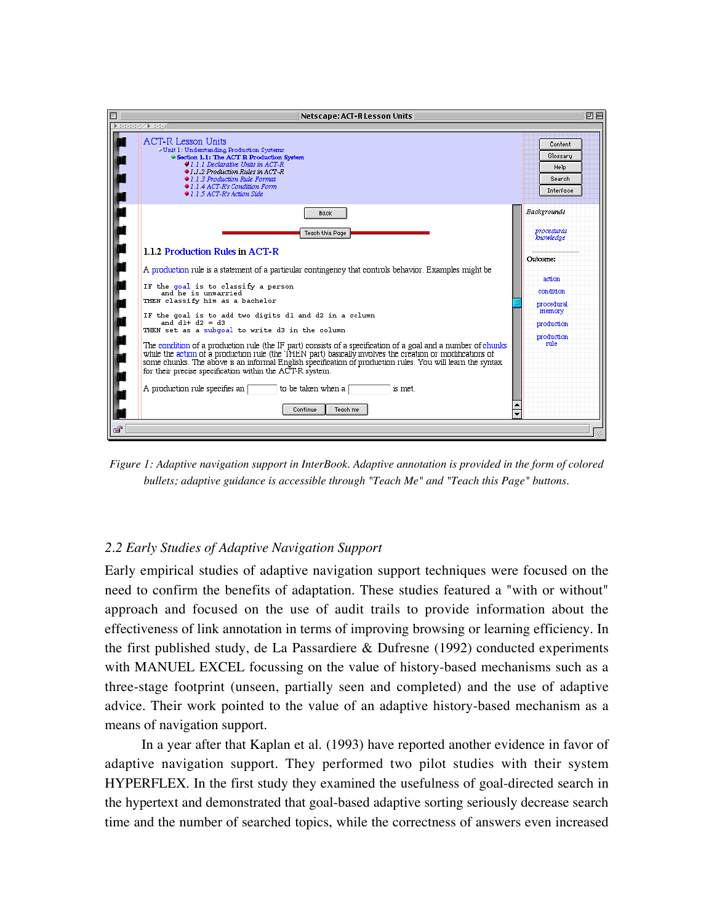| Netscape: ACT-R Lesson Units                                                                                                                                                                                                                                                                                                                                                                                                                                                                                                                                                                                                                                                                                                                                                                                                                                                                                          | 回目                                                                                                                                    |
|-----------------------------------------------------------------------------------------------------------------------------------------------------------------------------------------------------------------------------------------------------------------------------------------------------------------------------------------------------------------------------------------------------------------------------------------------------------------------------------------------------------------------------------------------------------------------------------------------------------------------------------------------------------------------------------------------------------------------------------------------------------------------------------------------------------------------------------------------------------------------------------------------------------------------|---------------------------------------------------------------------------------------------------------------------------------------|
| トラシシングト シシス<br><b>ACT-R Lesson Units</b><br>Unit 1: Understanding Production Systems<br><sup>•</sup> Section 1.1: The ACT-R Production System<br>$\bullet$ 1.1.1 Declarative Units in ACT-R<br><b>•1.1.2 Production Rules in ACT-R</b><br>● 1.1.3 Production Rule Format<br>●1.1.4 ACT-R's Condition Form<br>●1.1.5 ACT-R's Action Side                                                                                                                                                                                                                                                                                                                                                                                                                                                                                                                                                                               | Content<br>Glossaru<br>Help<br>Search<br>Interface                                                                                    |
| <b>Back</b><br>Teach this Page<br>1.1.2 Production Rules in ACT-R<br>A production rule is a statement of a particular contingency that controls behavior. Examples might be<br>IF the goal is to classify a person<br>and he is unmarried<br>THEN classify him as a bachelor<br>IF the goal is to add two digits d1 and d2 in a column<br>and $d1+ d2 = d3$<br>THEN set as a subgoal to write d3 in the column<br>The condition of a production rule (the IF part) consists of a specification of a goal and a number of chunks<br>while the action of a production rule (the THEN part) basically involves the creation or modifications of<br>some chunks. The above is an informal English specification of production rules. You will learn the syntax<br>for their precise specification within the ACT-R system.<br>A production rule specifies an [<br>to be taken when a [<br>is met.<br>Continue<br>Teach me | Background:<br>procedural<br>knowledge<br>Outcome:<br>action<br>condition<br>procedural<br>memory<br>production<br>production<br>rule |
| ਛੇ                                                                                                                                                                                                                                                                                                                                                                                                                                                                                                                                                                                                                                                                                                                                                                                                                                                                                                                    |                                                                                                                                       |

*Figure 1: Adaptive navigation support in InterBook. Adaptive annotation is provided in the form of colored bullets; adaptive guidance is accessible through "Teach Me" and "Teach this Page" buttons.*

## *2.2 Early Studies of Adaptive Navigation Support*

Early empirical studies of adaptive navigation support techniques were focused on the need to confirm the benefits of adaptation. These studies featured a "with or without" approach and focused on the use of audit trails to provide information about the effectiveness of link annotation in terms of improving browsing or learning efficiency. In the first published study, de La Passardiere & Dufresne (1992) conducted experiments with MANUEL EXCEL focussing on the value of history-based mechanisms such as a three-stage footprint (unseen, partially seen and completed) and the use of adaptive advice. Their work pointed to the value of an adaptive history-based mechanism as a means of navigation support.

In a year after that Kaplan et al. (1993) have reported another evidence in favor of adaptive navigation support. They performed two pilot studies with their system HYPERFLEX. In the first study they examined the usefulness of goal-directed search in the hypertext and demonstrated that goal-based adaptive sorting seriously decrease search time and the number of searched topics, while the correctness of answers even increased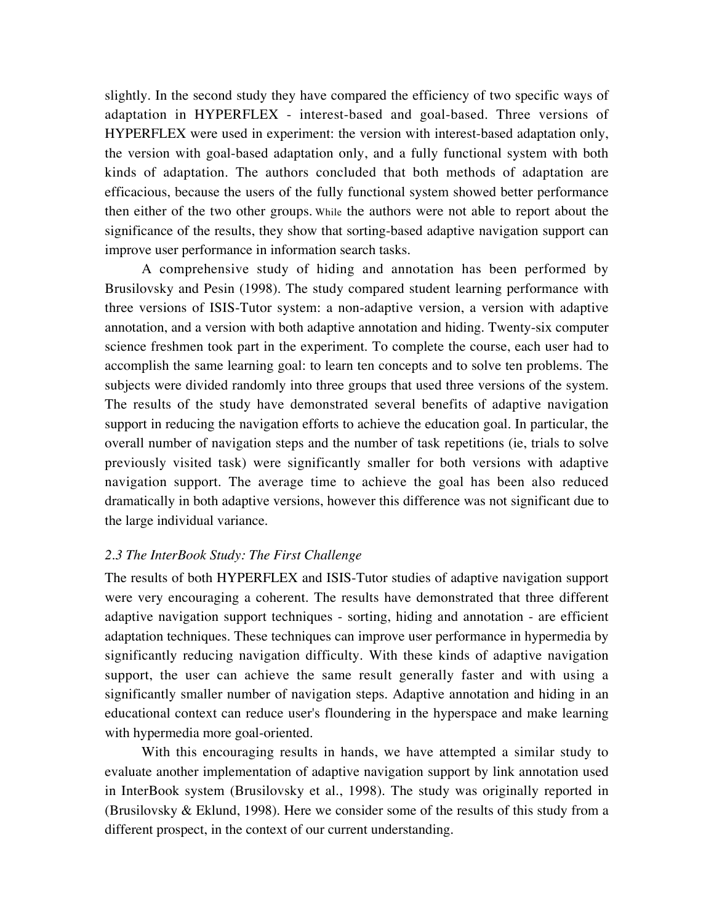slightly. In the second study they have compared the efficiency of two specific ways of adaptation in HYPERFLEX - interest-based and goal-based. Three versions of HYPERFLEX were used in experiment: the version with interest-based adaptation only, the version with goal-based adaptation only, and a fully functional system with both kinds of adaptation. The authors concluded that both methods of adaptation are efficacious, because the users of the fully functional system showed better performance then either of the two other groups. While the authors were not able to report about the significance of the results, they show that sorting-based adaptive navigation support can improve user performance in information search tasks.

A comprehensive study of hiding and annotation has been performed by Brusilovsky and Pesin (1998). The study compared student learning performance with three versions of ISIS-Tutor system: a non-adaptive version, a version with adaptive annotation, and a version with both adaptive annotation and hiding. Twenty-six computer science freshmen took part in the experiment. To complete the course, each user had to accomplish the same learning goal: to learn ten concepts and to solve ten problems. The subjects were divided randomly into three groups that used three versions of the system. The results of the study have demonstrated several benefits of adaptive navigation support in reducing the navigation efforts to achieve the education goal. In particular, the overall number of navigation steps and the number of task repetitions (ie, trials to solve previously visited task) were significantly smaller for both versions with adaptive navigation support. The average time to achieve the goal has been also reduced dramatically in both adaptive versions, however this difference was not significant due to the large individual variance.

#### *2.3 The InterBook Study: The First Challenge*

The results of both HYPERFLEX and ISIS-Tutor studies of adaptive navigation support were very encouraging a coherent. The results have demonstrated that three different adaptive navigation support techniques - sorting, hiding and annotation - are efficient adaptation techniques. These techniques can improve user performance in hypermedia by significantly reducing navigation difficulty. With these kinds of adaptive navigation support, the user can achieve the same result generally faster and with using a significantly smaller number of navigation steps. Adaptive annotation and hiding in an educational context can reduce user's floundering in the hyperspace and make learning with hypermedia more goal-oriented.

With this encouraging results in hands, we have attempted a similar study to evaluate another implementation of adaptive navigation support by link annotation used in InterBook system (Brusilovsky et al., 1998). The study was originally reported in (Brusilovsky & Eklund, 1998). Here we consider some of the results of this study from a different prospect, in the context of our current understanding.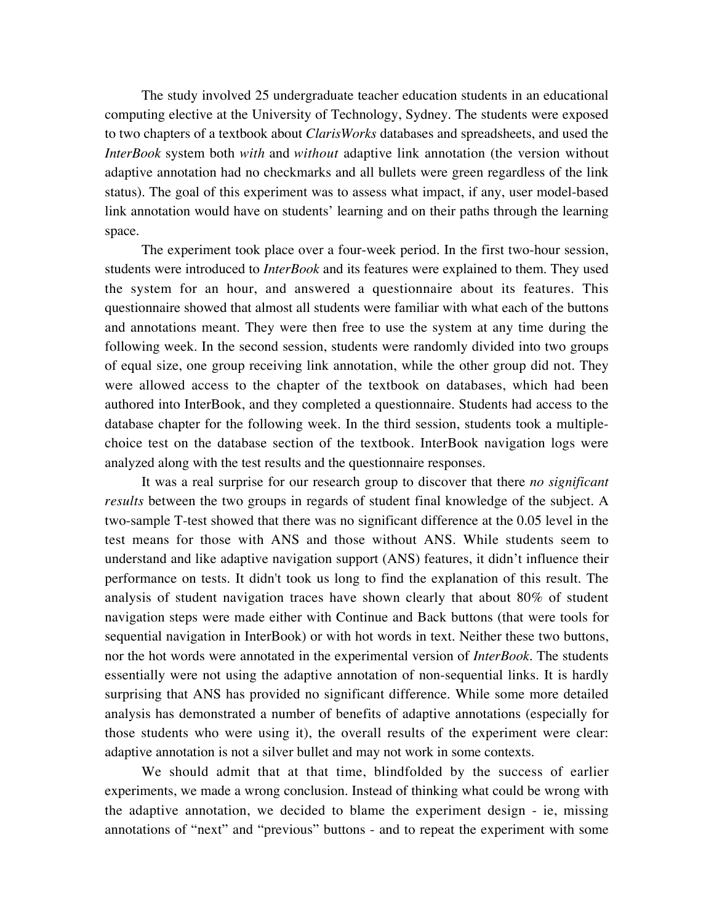The study involved 25 undergraduate teacher education students in an educational computing elective at the University of Technology, Sydney. The students were exposed to two chapters of a textbook about *ClarisWorks* databases and spreadsheets, and used the *InterBook* system both *with* and *without* adaptive link annotation (the version without adaptive annotation had no checkmarks and all bullets were green regardless of the link status). The goal of this experiment was to assess what impact, if any, user model-based link annotation would have on students' learning and on their paths through the learning space.

The experiment took place over a four-week period. In the first two-hour session, students were introduced to *InterBook* and its features were explained to them. They used the system for an hour, and answered a questionnaire about its features. This questionnaire showed that almost all students were familiar with what each of the buttons and annotations meant. They were then free to use the system at any time during the following week. In the second session, students were randomly divided into two groups of equal size, one group receiving link annotation, while the other group did not. They were allowed access to the chapter of the textbook on databases, which had been authored into InterBook, and they completed a questionnaire. Students had access to the database chapter for the following week. In the third session, students took a multiplechoice test on the database section of the textbook. InterBook navigation logs were analyzed along with the test results and the questionnaire responses.

It was a real surprise for our research group to discover that there *no significant results* between the two groups in regards of student final knowledge of the subject. A two-sample T-test showed that there was no significant difference at the 0.05 level in the test means for those with ANS and those without ANS. While students seem to understand and like adaptive navigation support (ANS) features, it didn't influence their performance on tests. It didn't took us long to find the explanation of this result. The analysis of student navigation traces have shown clearly that about 80% of student navigation steps were made either with Continue and Back buttons (that were tools for sequential navigation in InterBook) or with hot words in text. Neither these two buttons, nor the hot words were annotated in the experimental version of *InterBook*. The students essentially were not using the adaptive annotation of non-sequential links. It is hardly surprising that ANS has provided no significant difference. While some more detailed analysis has demonstrated a number of benefits of adaptive annotations (especially for those students who were using it), the overall results of the experiment were clear: adaptive annotation is not a silver bullet and may not work in some contexts.

We should admit that at that time, blindfolded by the success of earlier experiments, we made a wrong conclusion. Instead of thinking what could be wrong with the adaptive annotation, we decided to blame the experiment design - ie, missing annotations of "next" and "previous" buttons - and to repeat the experiment with some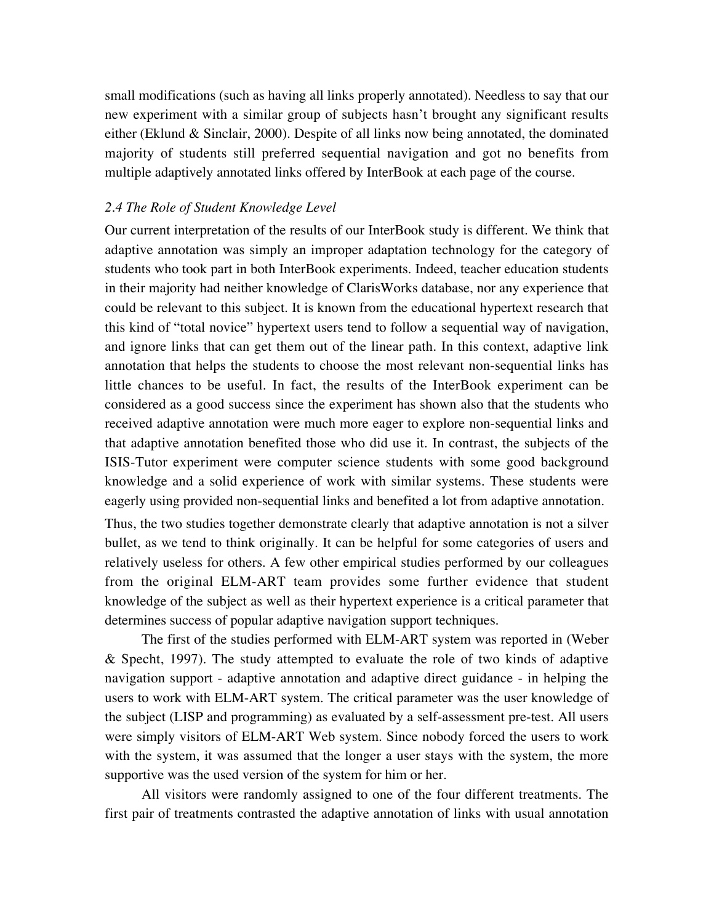small modifications (such as having all links properly annotated). Needless to say that our new experiment with a similar group of subjects hasn't brought any significant results either (Eklund & Sinclair, 2000). Despite of all links now being annotated, the dominated majority of students still preferred sequential navigation and got no benefits from multiple adaptively annotated links offered by InterBook at each page of the course.

#### *2.4 The Role of Student Knowledge Level*

Our current interpretation of the results of our InterBook study is different. We think that adaptive annotation was simply an improper adaptation technology for the category of students who took part in both InterBook experiments. Indeed, teacher education students in their majority had neither knowledge of ClarisWorks database, nor any experience that could be relevant to this subject. It is known from the educational hypertext research that this kind of "total novice" hypertext users tend to follow a sequential way of navigation, and ignore links that can get them out of the linear path. In this context, adaptive link annotation that helps the students to choose the most relevant non-sequential links has little chances to be useful. In fact, the results of the InterBook experiment can be considered as a good success since the experiment has shown also that the students who received adaptive annotation were much more eager to explore non-sequential links and that adaptive annotation benefited those who did use it. In contrast, the subjects of the ISIS-Tutor experiment were computer science students with some good background knowledge and a solid experience of work with similar systems. These students were eagerly using provided non-sequential links and benefited a lot from adaptive annotation.

Thus, the two studies together demonstrate clearly that adaptive annotation is not a silver bullet, as we tend to think originally. It can be helpful for some categories of users and relatively useless for others. A few other empirical studies performed by our colleagues from the original ELM-ART team provides some further evidence that student knowledge of the subject as well as their hypertext experience is a critical parameter that determines success of popular adaptive navigation support techniques.

The first of the studies performed with ELM-ART system was reported in (Weber & Specht, 1997). The study attempted to evaluate the role of two kinds of adaptive navigation support - adaptive annotation and adaptive direct guidance - in helping the users to work with ELM-ART system. The critical parameter was the user knowledge of the subject (LISP and programming) as evaluated by a self-assessment pre-test. All users were simply visitors of ELM-ART Web system. Since nobody forced the users to work with the system, it was assumed that the longer a user stays with the system, the more supportive was the used version of the system for him or her.

All visitors were randomly assigned to one of the four different treatments. The first pair of treatments contrasted the adaptive annotation of links with usual annotation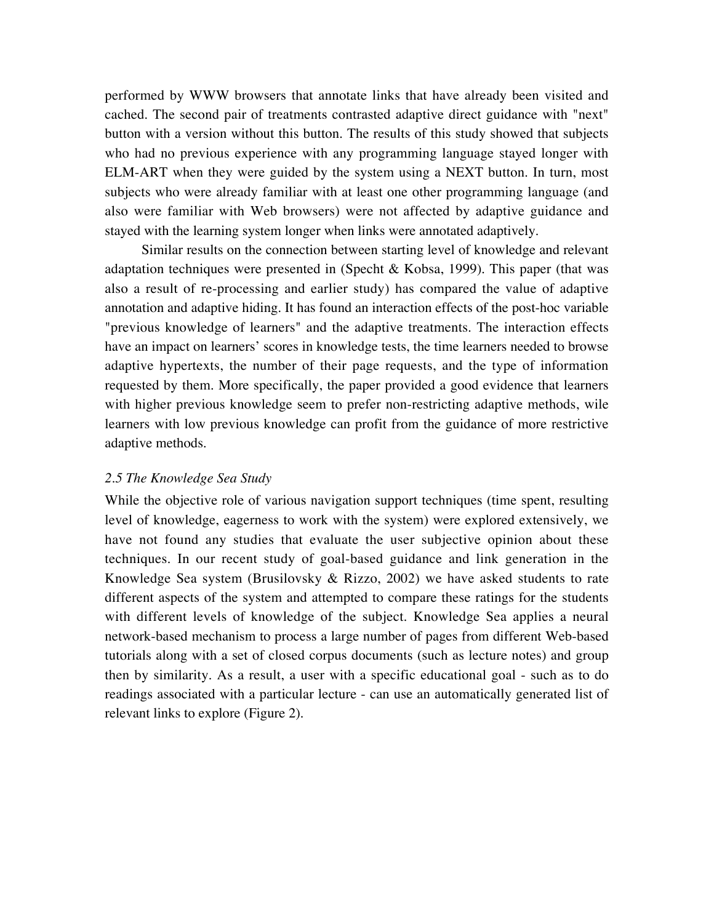performed by WWW browsers that annotate links that have already been visited and cached. The second pair of treatments contrasted adaptive direct guidance with "next" button with a version without this button. The results of this study showed that subjects who had no previous experience with any programming language stayed longer with ELM-ART when they were guided by the system using a NEXT button. In turn, most subjects who were already familiar with at least one other programming language (and also were familiar with Web browsers) were not affected by adaptive guidance and stayed with the learning system longer when links were annotated adaptively.

Similar results on the connection between starting level of knowledge and relevant adaptation techniques were presented in (Specht & Kobsa, 1999). This paper (that was also a result of re-processing and earlier study) has compared the value of adaptive annotation and adaptive hiding. It has found an interaction effects of the post-hoc variable "previous knowledge of learners" and the adaptive treatments. The interaction effects have an impact on learners' scores in knowledge tests, the time learners needed to browse adaptive hypertexts, the number of their page requests, and the type of information requested by them. More specifically, the paper provided a good evidence that learners with higher previous knowledge seem to prefer non-restricting adaptive methods, wile learners with low previous knowledge can profit from the guidance of more restrictive adaptive methods.

#### *2.5 The Knowledge Sea Study*

While the objective role of various navigation support techniques (time spent, resulting level of knowledge, eagerness to work with the system) were explored extensively, we have not found any studies that evaluate the user subjective opinion about these techniques. In our recent study of goal-based guidance and link generation in the Knowledge Sea system (Brusilovsky & Rizzo, 2002) we have asked students to rate different aspects of the system and attempted to compare these ratings for the students with different levels of knowledge of the subject. Knowledge Sea applies a neural network-based mechanism to process a large number of pages from different Web-based tutorials along with a set of closed corpus documents (such as lecture notes) and group then by similarity. As a result, a user with a specific educational goal - such as to do readings associated with a particular lecture - can use an automatically generated list of relevant links to explore (Figure 2).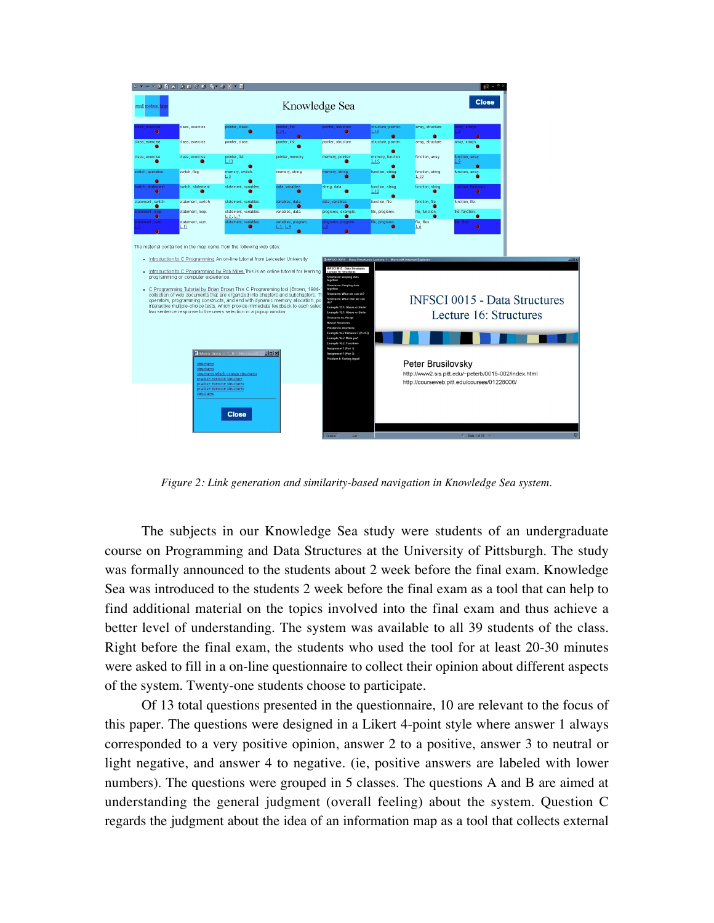

*Figure 2: Link generation and similarity-based navigation in Knowledge Sea system.*

The subjects in our Knowledge Sea study were students of an undergraduate course on Programming and Data Structures at the University of Pittsburgh. The study was formally announced to the students about 2 week before the final exam. Knowledge Sea was introduced to the students 2 week before the final exam as a tool that can help to find additional material on the topics involved into the final exam and thus achieve a better level of understanding. The system was available to all 39 students of the class. Right before the final exam, the students who used the tool for at least 20-30 minutes were asked to fill in a on-line questionnaire to collect their opinion about different aspects of the system. Twenty-one students choose to participate.

Of 13 total questions presented in the questionnaire, 10 are relevant to the focus of this paper. The questions were designed in a Likert 4-point style where answer 1 always corresponded to a very positive opinion, answer 2 to a positive, answer 3 to neutral or light negative, and answer 4 to negative. (ie, positive answers are labeled with lower numbers). The questions were grouped in 5 classes. The questions A and B are aimed at understanding the general judgment (overall feeling) about the system. Question C regards the judgment about the idea of an information map as a tool that collects external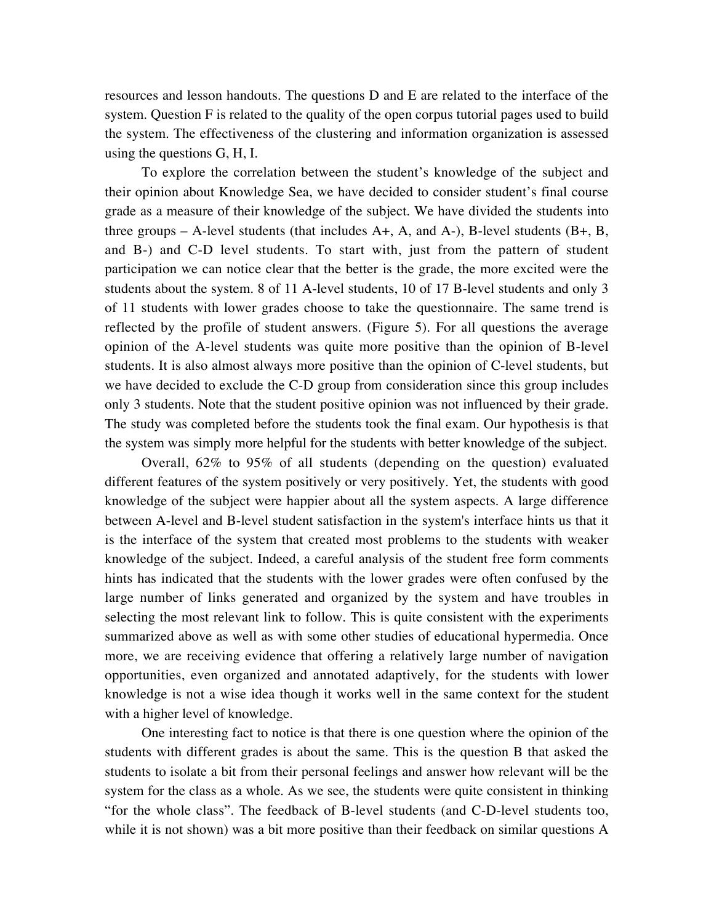resources and lesson handouts. The questions D and E are related to the interface of the system. Question F is related to the quality of the open corpus tutorial pages used to build the system. The effectiveness of the clustering and information organization is assessed using the questions G, H, I.

To explore the correlation between the student's knowledge of the subject and their opinion about Knowledge Sea, we have decided to consider student's final course grade as a measure of their knowledge of the subject. We have divided the students into three groups – A-level students (that includes  $A+$ ,  $A$ , and  $A-$ ), B-level students ( $B+$ ,  $B$ , and B-) and C-D level students. To start with, just from the pattern of student participation we can notice clear that the better is the grade, the more excited were the students about the system. 8 of 11 A-level students, 10 of 17 B-level students and only 3 of 11 students with lower grades choose to take the questionnaire. The same trend is reflected by the profile of student answers. (Figure 5). For all questions the average opinion of the A-level students was quite more positive than the opinion of B-level students. It is also almost always more positive than the opinion of C-level students, but we have decided to exclude the C-D group from consideration since this group includes only 3 students. Note that the student positive opinion was not influenced by their grade. The study was completed before the students took the final exam. Our hypothesis is that the system was simply more helpful for the students with better knowledge of the subject.

Overall, 62% to 95% of all students (depending on the question) evaluated different features of the system positively or very positively. Yet, the students with good knowledge of the subject were happier about all the system aspects. A large difference between A-level and B-level student satisfaction in the system's interface hints us that it is the interface of the system that created most problems to the students with weaker knowledge of the subject. Indeed, a careful analysis of the student free form comments hints has indicated that the students with the lower grades were often confused by the large number of links generated and organized by the system and have troubles in selecting the most relevant link to follow. This is quite consistent with the experiments summarized above as well as with some other studies of educational hypermedia. Once more, we are receiving evidence that offering a relatively large number of navigation opportunities, even organized and annotated adaptively, for the students with lower knowledge is not a wise idea though it works well in the same context for the student with a higher level of knowledge.

One interesting fact to notice is that there is one question where the opinion of the students with different grades is about the same. This is the question B that asked the students to isolate a bit from their personal feelings and answer how relevant will be the system for the class as a whole. As we see, the students were quite consistent in thinking "for the whole class". The feedback of B-level students (and C-D-level students too, while it is not shown) was a bit more positive than their feedback on similar questions A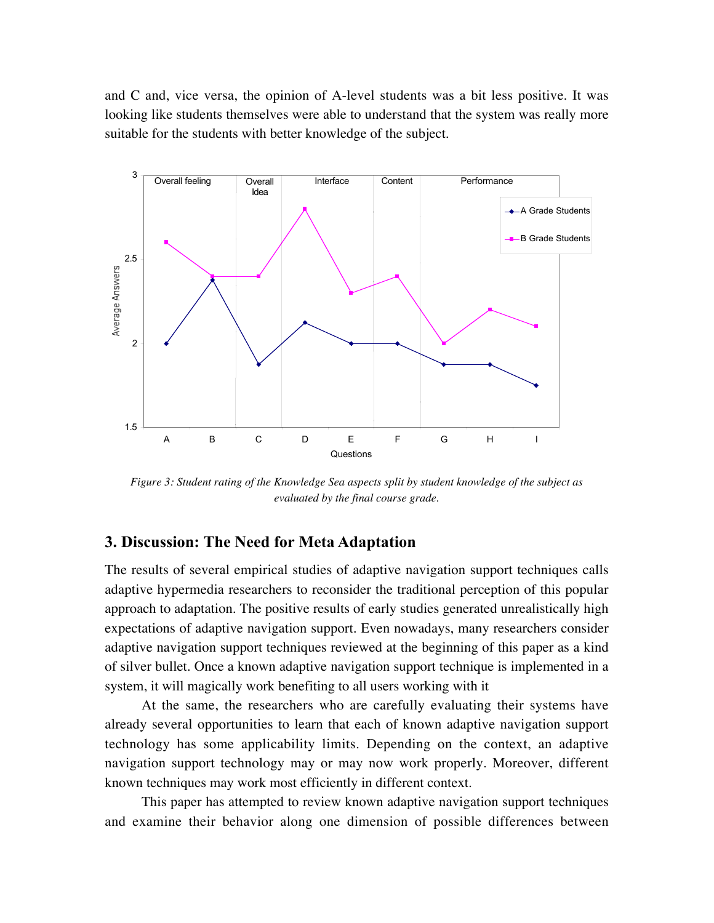and C and, vice versa, the opinion of A-level students was a bit less positive. It was looking like students themselves were able to understand that the system was really more suitable for the students with better knowledge of the subject.



*Figure 3: Student rating of the Knowledge Sea aspects split by student knowledge of the subject as evaluated by the final course grade.*

# **3. Discussion: The Need for Meta Adaptation**

The results of several empirical studies of adaptive navigation support techniques calls adaptive hypermedia researchers to reconsider the traditional perception of this popular approach to adaptation. The positive results of early studies generated unrealistically high expectations of adaptive navigation support. Even nowadays, many researchers consider adaptive navigation support techniques reviewed at the beginning of this paper as a kind of silver bullet. Once a known adaptive navigation support technique is implemented in a system, it will magically work benefiting to all users working with it

At the same, the researchers who are carefully evaluating their systems have already several opportunities to learn that each of known adaptive navigation support technology has some applicability limits. Depending on the context, an adaptive navigation support technology may or may now work properly. Moreover, different known techniques may work most efficiently in different context.

This paper has attempted to review known adaptive navigation support techniques and examine their behavior along one dimension of possible differences between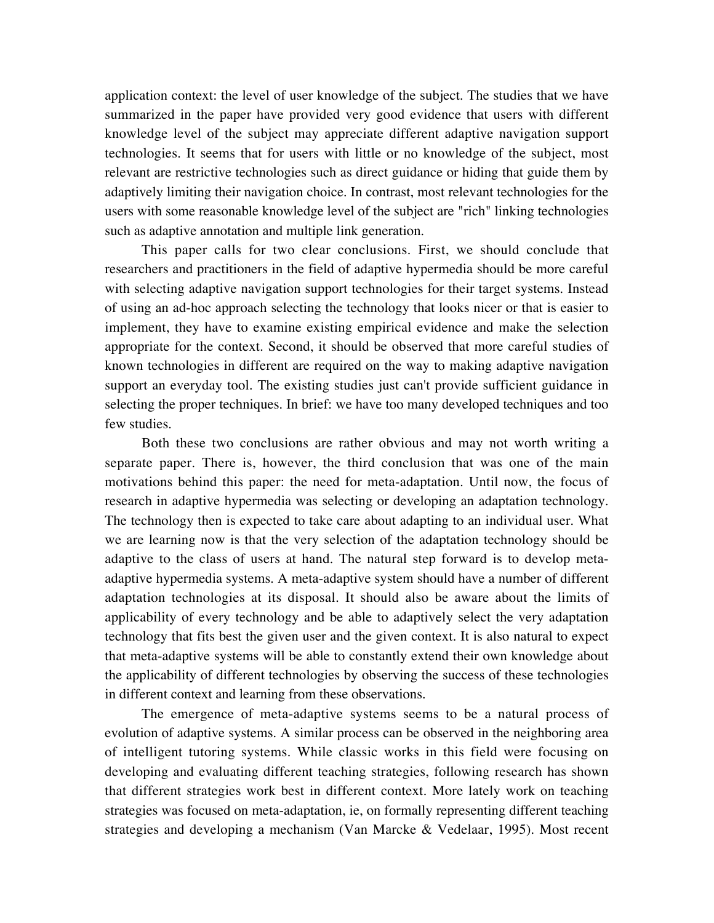application context: the level of user knowledge of the subject. The studies that we have summarized in the paper have provided very good evidence that users with different knowledge level of the subject may appreciate different adaptive navigation support technologies. It seems that for users with little or no knowledge of the subject, most relevant are restrictive technologies such as direct guidance or hiding that guide them by adaptively limiting their navigation choice. In contrast, most relevant technologies for the users with some reasonable knowledge level of the subject are "rich" linking technologies such as adaptive annotation and multiple link generation.

This paper calls for two clear conclusions. First, we should conclude that researchers and practitioners in the field of adaptive hypermedia should be more careful with selecting adaptive navigation support technologies for their target systems. Instead of using an ad-hoc approach selecting the technology that looks nicer or that is easier to implement, they have to examine existing empirical evidence and make the selection appropriate for the context. Second, it should be observed that more careful studies of known technologies in different are required on the way to making adaptive navigation support an everyday tool. The existing studies just can't provide sufficient guidance in selecting the proper techniques. In brief: we have too many developed techniques and too few studies.

Both these two conclusions are rather obvious and may not worth writing a separate paper. There is, however, the third conclusion that was one of the main motivations behind this paper: the need for meta-adaptation. Until now, the focus of research in adaptive hypermedia was selecting or developing an adaptation technology. The technology then is expected to take care about adapting to an individual user. What we are learning now is that the very selection of the adaptation technology should be adaptive to the class of users at hand. The natural step forward is to develop metaadaptive hypermedia systems. A meta-adaptive system should have a number of different adaptation technologies at its disposal. It should also be aware about the limits of applicability of every technology and be able to adaptively select the very adaptation technology that fits best the given user and the given context. It is also natural to expect that meta-adaptive systems will be able to constantly extend their own knowledge about the applicability of different technologies by observing the success of these technologies in different context and learning from these observations.

The emergence of meta-adaptive systems seems to be a natural process of evolution of adaptive systems. A similar process can be observed in the neighboring area of intelligent tutoring systems. While classic works in this field were focusing on developing and evaluating different teaching strategies, following research has shown that different strategies work best in different context. More lately work on teaching strategies was focused on meta-adaptation, ie, on formally representing different teaching strategies and developing a mechanism (Van Marcke & Vedelaar, 1995). Most recent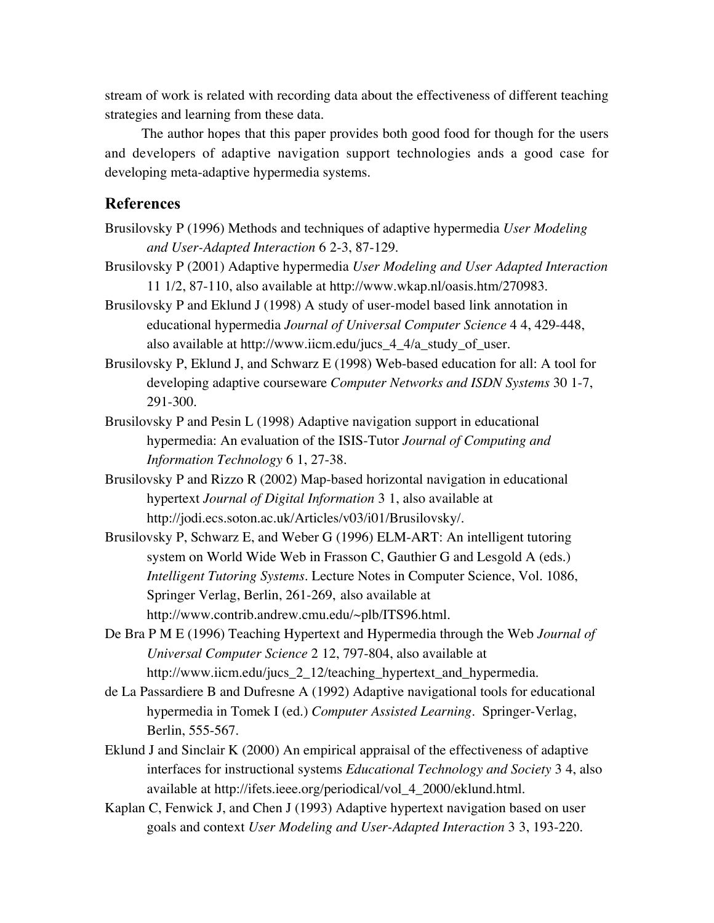stream of work is related with recording data about the effectiveness of different teaching strategies and learning from these data.

The author hopes that this paper provides both good food for though for the users and developers of adaptive navigation support technologies ands a good case for developing meta-adaptive hypermedia systems.

# **References**

- Brusilovsky P (1996) Methods and techniques of adaptive hypermedia *User Modeling and User-Adapted Interaction* 6 2-3, 87-129.
- Brusilovsky P (2001) Adaptive hypermedia *User Modeling and User Adapted Interaction* 11 1/2, 87-110, also available at http://www.wkap.nl/oasis.htm/270983.
- Brusilovsky P and Eklund J (1998) A study of user-model based link annotation in educational hypermedia *Journal of Universal Computer Science* 4 4, 429-448, also available at http://www.iicm.edu/jucs\_4\_4/a\_study\_of\_user.
- Brusilovsky P, Eklund J, and Schwarz E (1998) Web-based education for all: A tool for developing adaptive courseware *Computer Networks and ISDN Systems* 30 1-7, 291-300.
- Brusilovsky P and Pesin L (1998) Adaptive navigation support in educational hypermedia: An evaluation of the ISIS-Tutor *Journal of Computing and Information Technology* 6 1, 27-38.
- Brusilovsky P and Rizzo R (2002) Map-based horizontal navigation in educational hypertext *Journal of Digital Information* 3 1, also available at http://jodi.ecs.soton.ac.uk/Articles/v03/i01/Brusilovsky/.
- Brusilovsky P, Schwarz E, and Weber G (1996) ELM-ART: An intelligent tutoring system on World Wide Web in Frasson C, Gauthier G and Lesgold A (eds.) *Intelligent Tutoring Systems*. Lecture Notes in Computer Science, Vol. 1086, Springer Verlag, Berlin, 261-269, also available at http://www.contrib.andrew.cmu.edu/~plb/ITS96.html.
- De Bra P M E (1996) Teaching Hypertext and Hypermedia through the Web *Journal of Universal Computer Science* 2 12, 797-804, also available at http://www.iicm.edu/jucs\_2\_12/teaching\_hypertext\_and\_hypermedia.
- de La Passardiere B and Dufresne A (1992) Adaptive navigational tools for educational hypermedia in Tomek I (ed.) *Computer Assisted Learning*. Springer-Verlag, Berlin, 555-567.
- Eklund J and Sinclair K (2000) An empirical appraisal of the effectiveness of adaptive interfaces for instructional systems *Educational Technology and Society* 3 4, also available at http://ifets.ieee.org/periodical/vol\_4\_2000/eklund.html.
- Kaplan C, Fenwick J, and Chen J (1993) Adaptive hypertext navigation based on user goals and context *User Modeling and User-Adapted Interaction* 3 3, 193-220.